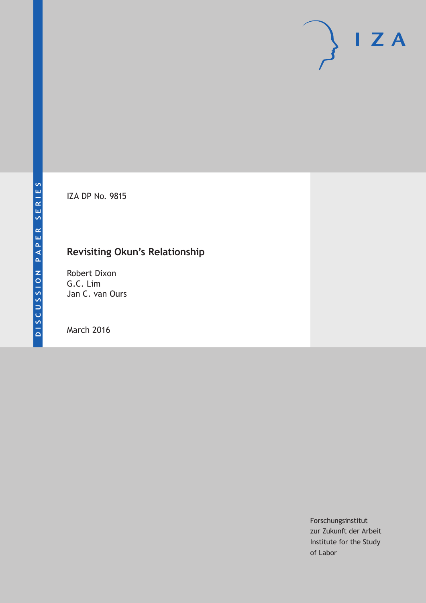IZA DP No. 9815

# **Revisiting Okun's Relationship**

Robert Dixon G.C. Lim Jan C. van Ours

March 2016

Forschungsinstitut zur Zukunft der Arbeit Institute for the Study of Labor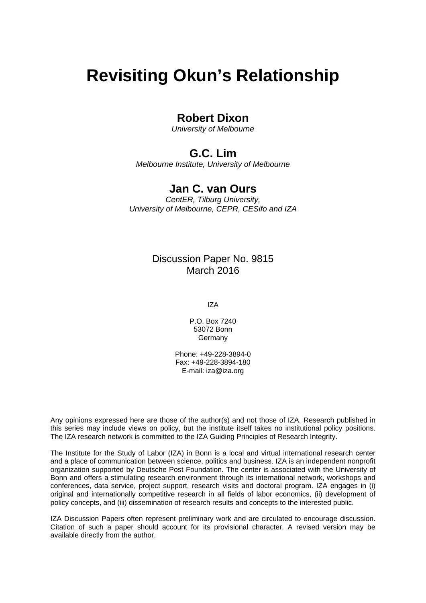# **Revisiting Okun's Relationship**

### **Robert Dixon**

*University of Melbourne* 

### **G.C. Lim**

*Melbourne Institute, University of Melbourne* 

### **Jan C. van Ours**

*CentER, Tilburg University, University of Melbourne, CEPR, CESifo and IZA*

### Discussion Paper No. 9815 March 2016

IZA

P.O. Box 7240 53072 Bonn Germany

Phone: +49-228-3894-0 Fax: +49-228-3894-180 E-mail: iza@iza.org

Any opinions expressed here are those of the author(s) and not those of IZA. Research published in this series may include views on policy, but the institute itself takes no institutional policy positions. The IZA research network is committed to the IZA Guiding Principles of Research Integrity.

The Institute for the Study of Labor (IZA) in Bonn is a local and virtual international research center and a place of communication between science, politics and business. IZA is an independent nonprofit organization supported by Deutsche Post Foundation. The center is associated with the University of Bonn and offers a stimulating research environment through its international network, workshops and conferences, data service, project support, research visits and doctoral program. IZA engages in (i) original and internationally competitive research in all fields of labor economics, (ii) development of policy concepts, and (iii) dissemination of research results and concepts to the interested public.

IZA Discussion Papers often represent preliminary work and are circulated to encourage discussion. Citation of such a paper should account for its provisional character. A revised version may be available directly from the author.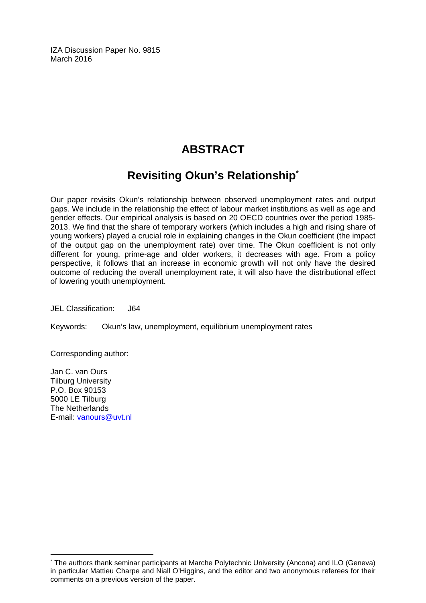IZA Discussion Paper No. 9815 March 2016

## **ABSTRACT**

# **Revisiting Okun's Relationship\***

Our paper revisits Okun's relationship between observed unemployment rates and output gaps. We include in the relationship the effect of labour market institutions as well as age and gender effects. Our empirical analysis is based on 20 OECD countries over the period 1985- 2013. We find that the share of temporary workers (which includes a high and rising share of young workers) played a crucial role in explaining changes in the Okun coefficient (the impact of the output gap on the unemployment rate) over time. The Okun coefficient is not only different for young, prime-age and older workers, it decreases with age. From a policy perspective, it follows that an increase in economic growth will not only have the desired outcome of reducing the overall unemployment rate, it will also have the distributional effect of lowering youth unemployment.

JEL Classification: J64

Keywords: Okun's law, unemployment, equilibrium unemployment rates

Corresponding author:

Jan C. van Ours Tilburg University P.O. Box 90153 5000 LE Tilburg The Netherlands E-mail: vanours@uvt.nl

 $\overline{\phantom{a}}$ 

<sup>\*</sup> The authors thank seminar participants at Marche Polytechnic University (Ancona) and ILO (Geneva) in particular Mattieu Charpe and Niall O'Higgins, and the editor and two anonymous referees for their comments on a previous version of the paper.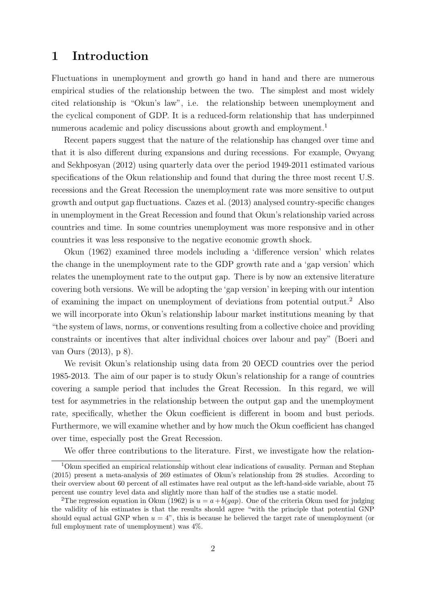### 1 Introduction

Fluctuations in unemployment and growth go hand in hand and there are numerous empirical studies of the relationship between the two. The simplest and most widely cited relationship is "Okun's law", i.e. the relationship between unemployment and the cyclical component of GDP. It is a reduced-form relationship that has underpinned numerous academic and policy discussions about growth and employment.<sup>1</sup>

Recent papers suggest that the nature of the relationship has changed over time and that it is also different during expansions and during recessions. For example, Owyang and Sekhposyan (2012) using quarterly data over the period 1949-2011 estimated various specifications of the Okun relationship and found that during the three most recent U.S. recessions and the Great Recession the unemployment rate was more sensitive to output growth and output gap fluctuations. Cazes et al. (2013) analysed country-specific changes in unemployment in the Great Recession and found that Okun's relationship varied across countries and time. In some countries unemployment was more responsive and in other countries it was less responsive to the negative economic growth shock.

Okun (1962) examined three models including a 'difference version' which relates the change in the unemployment rate to the GDP growth rate and a 'gap version' which relates the unemployment rate to the output gap. There is by now an extensive literature covering both versions. We will be adopting the 'gap version' in keeping with our intention of examining the impact on unemployment of deviations from potential output.<sup>2</sup> Also we will incorporate into Okun's relationship labour market institutions meaning by that "the system of laws, norms, or conventions resulting from a collective choice and providing constraints or incentives that alter individual choices over labour and pay" (Boeri and van Ours (2013), p 8).

We revisit Okun's relationship using data from 20 OECD countries over the period 1985-2013. The aim of our paper is to study Okun's relationship for a range of countries covering a sample period that includes the Great Recession. In this regard, we will test for asymmetries in the relationship between the output gap and the unemployment rate, specifically, whether the Okun coefficient is different in boom and bust periods. Furthermore, we will examine whether and by how much the Okun coefficient has changed over time, especially post the Great Recession.

We offer three contributions to the literature. First, we investigate how the relation-

<sup>1</sup>Okun specified an empirical relationship without clear indications of causality. Perman and Stephan (2015) present a meta-analysis of 269 estimates of Okun's relationship from 28 studies. According to their overview about 60 percent of all estimates have real output as the left-hand-side variable, about 75 percent use country level data and slightly more than half of the studies use a static model.

<sup>&</sup>lt;sup>2</sup>The regression equation in Okun (1962) is  $u = a + b(qap)$ . One of the criteria Okun used for judging the validity of his estimates is that the results should agree "with the principle that potential GNP should equal actual GNP when  $u = 4$ ", this is because he believed the target rate of unemployment (or full employment rate of unemployment) was 4%.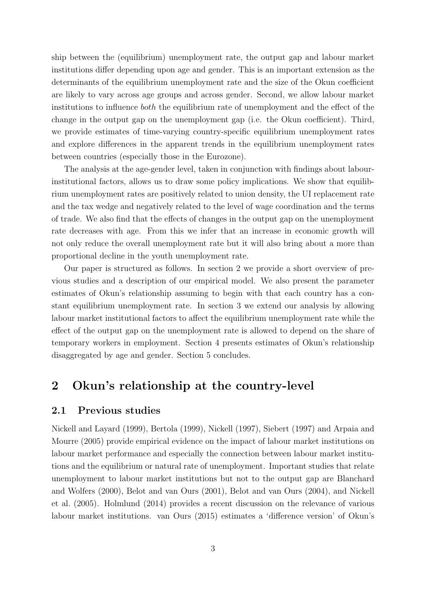ship between the (equilibrium) unemployment rate, the output gap and labour market institutions differ depending upon age and gender. This is an important extension as the determinants of the equilibrium unemployment rate and the size of the Okun coefficient are likely to vary across age groups and across gender. Second, we allow labour market institutions to influence both the equilibrium rate of unemployment and the effect of the change in the output gap on the unemployment gap (i.e. the Okun coefficient). Third, we provide estimates of time-varying country-specific equilibrium unemployment rates and explore differences in the apparent trends in the equilibrium unemployment rates between countries (especially those in the Eurozone).

The analysis at the age-gender level, taken in conjunction with findings about labourinstitutional factors, allows us to draw some policy implications. We show that equilibrium unemployment rates are positively related to union density, the UI replacement rate and the tax wedge and negatively related to the level of wage coordination and the terms of trade. We also find that the effects of changes in the output gap on the unemployment rate decreases with age. From this we infer that an increase in economic growth will not only reduce the overall unemployment rate but it will also bring about a more than proportional decline in the youth unemployment rate.

Our paper is structured as follows. In section 2 we provide a short overview of previous studies and a description of our empirical model. We also present the parameter estimates of Okun's relationship assuming to begin with that each country has a constant equilibrium unemployment rate. In section 3 we extend our analysis by allowing labour market institutional factors to affect the equilibrium unemployment rate while the effect of the output gap on the unemployment rate is allowed to depend on the share of temporary workers in employment. Section 4 presents estimates of Okun's relationship disaggregated by age and gender. Section 5 concludes.

### 2 Okun's relationship at the country-level

#### 2.1 Previous studies

Nickell and Layard (1999), Bertola (1999), Nickell (1997), Siebert (1997) and Arpaia and Mourre (2005) provide empirical evidence on the impact of labour market institutions on labour market performance and especially the connection between labour market institutions and the equilibrium or natural rate of unemployment. Important studies that relate unemployment to labour market institutions but not to the output gap are Blanchard and Wolfers (2000), Belot and van Ours (2001), Belot and van Ours (2004), and Nickell et al. (2005). Holmlund (2014) provides a recent discussion on the relevance of various labour market institutions. van Ours (2015) estimates a 'difference version' of Okun's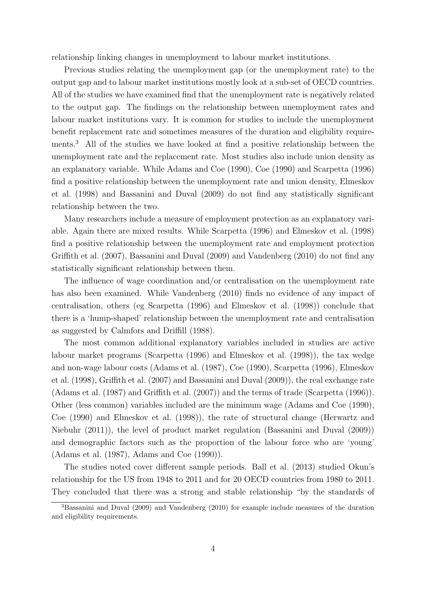relationship linking changes in unemployment to labour market institutions.

Previous studies relating the unemployment gap (or the unemployment rate) to the output gap and to labour market institutions mostly look at a sub-set of OECD countries. All of the studies we have examined find that the unemployment rate is negatively related to the output gap. The findings on the relationship between unemployment rates and labour market institutions vary. It is common for studies to include the unemployment benefit replacement rate and sometimes measures of the duration and eligibility requirements.<sup>3</sup> All of the studies we have looked at find a positive relationship between the unemployment rate and the replacement rate. Most studies also include union density as an explanatory variable. While Adams and Coe (1990), Coe (1990) and Scarpetta (1996) find a positive relationship between the unemployment rate and union density, Elmeskov et al. (1998) and Bassanini and Duval (2009) do not find any statistically significant relationship between the two.

Many researchers include a measure of employment protection as an explanatory variable. Again there are mixed results. While Scarpetta (1996) and Elmeskov et al. (1998) find a positive relationship between the unemployment rate and employment protection Griffith et al. (2007), Bassanini and Duval (2009) and Vandenberg (2010) do not find any statistically significant relationship between them.

The influence of wage coordination and/or centralisation on the unemployment rate has also been examined. While Vandenberg (2010) finds no evidence of any impact of centralisation, others (eg Scarpetta (1996) and Elmeskov et al. (1998)) conclude that there is a 'hump-shaped' relationship between the unemployment rate and centralisation as suggested by Calmfors and Driffill (1988).

The most common additional explanatory variables included in studies are active labour market programs (Scarpetta (1996) and Elmeskov et al. (1998)), the tax wedge and non-wage labour costs (Adams et al. (1987), Coe (1990), Scarpetta (1996), Elmeskov et al. (1998), Griffith et al. (2007) and Bassanini and Duval (2009)), the real exchange rate (Adams et al. (1987) and Griffith et al. (2007)) and the terms of trade (Scarpetta (1996)). Other (less common) variables included are the minimum wage (Adams and Coe (1990), Coe (1990) and Elmeskov et al. (1998)), the rate of structural change (Herwartz and Niebuhr (2011)), the level of product market regulation (Bassanini and Duval (2009)) and demographic factors such as the proportion of the labour force who are 'young' (Adams et al. (1987), Adams and Coe (1990)).

The studies noted cover different sample periods. Ball et al. (2013) studied Okun's relationship for the US from 1948 to 2011 and for 20 OECD countries from 1980 to 2011. They concluded that there was a strong and stable relationship "by the standards of

<sup>3</sup>Bassanini and Duval (2009) and Vandenberg (2010) for example include measures of the duration and eligibility requirements.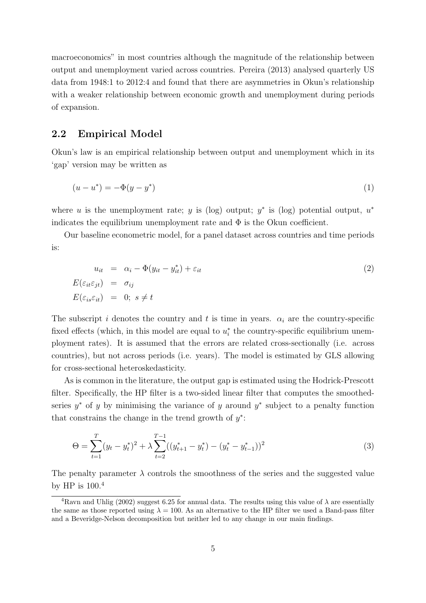macroeconomics" in most countries although the magnitude of the relationship between output and unemployment varied across countries. Pereira (2013) analysed quarterly US data from 1948:1 to 2012:4 and found that there are asymmetries in Okun's relationship with a weaker relationship between economic growth and unemployment during periods of expansion.

#### 2.2 Empirical Model

Okun's law is an empirical relationship between output and unemployment which in its 'gap' version may be written as

$$
(u - u^*) = -\Phi(y - y^*)
$$
 (1)

where u is the unemployment rate; y is (log) output;  $y^*$  is (log) potential output,  $u^*$ indicates the equilibrium unemployment rate and  $\Phi$  is the Okun coefficient.

Our baseline econometric model, for a panel dataset across countries and time periods is:

$$
u_{it} = \alpha_i - \Phi(y_{it} - y_{it}^*) + \varepsilon_{it}
$$
  
\n
$$
E(\varepsilon_{it}\varepsilon_{jt}) = \sigma_{ij}
$$
  
\n
$$
E(\varepsilon_{is}\varepsilon_{it}) = 0; s \neq t
$$
\n(2)

The subscript i denotes the country and t is time in years.  $\alpha_i$  are the country-specific fixed effects (which, in this model are equal to  $u_i^*$  the country-specific equilibrium unemployment rates). It is assumed that the errors are related cross-sectionally (i.e. across countries), but not across periods (i.e. years). The model is estimated by GLS allowing for cross-sectional heteroskedasticity.

As is common in the literature, the output gap is estimated using the Hodrick-Prescott filter. Specifically, the HP filter is a two-sided linear filter that computes the smoothedseries  $y^*$  of y by minimising the variance of y around  $y^*$  subject to a penalty function that constrains the change in the trend growth of  $y^*$ :

$$
\Theta = \sum_{t=1}^{T} (y_t - y_t^*)^2 + \lambda \sum_{t=2}^{T-1} ((y_{t+1}^* - y_t^*) - (y_t^* - y_{t-1}^*))^2
$$
\n(3)

The penalty parameter  $\lambda$  controls the smoothness of the series and the suggested value by HP is 100.<sup>4</sup>

<sup>&</sup>lt;sup>4</sup>Ravn and Uhlig (2002) suggest 6.25 for annual data. The results using this value of  $\lambda$  are essentially the same as those reported using  $\lambda = 100$ . As an alternative to the HP filter we used a Band-pass filter and a Beveridge-Nelson decomposition but neither led to any change in our main findings.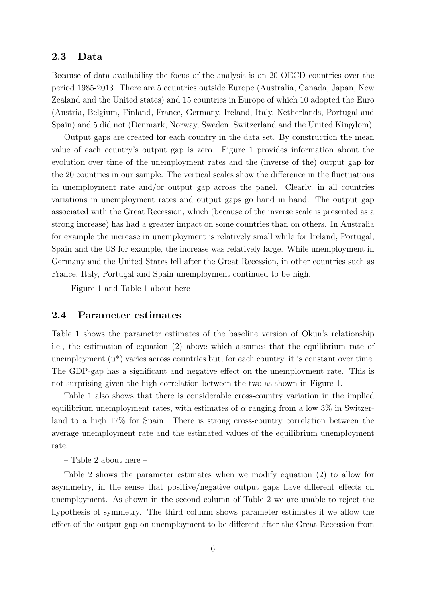#### 2.3 Data

Because of data availability the focus of the analysis is on 20 OECD countries over the period 1985-2013. There are 5 countries outside Europe (Australia, Canada, Japan, New Zealand and the United states) and 15 countries in Europe of which 10 adopted the Euro (Austria, Belgium, Finland, France, Germany, Ireland, Italy, Netherlands, Portugal and Spain) and 5 did not (Denmark, Norway, Sweden, Switzerland and the United Kingdom).

Output gaps are created for each country in the data set. By construction the mean value of each country's output gap is zero. Figure 1 provides information about the evolution over time of the unemployment rates and the (inverse of the) output gap for the 20 countries in our sample. The vertical scales show the difference in the fluctuations in unemployment rate and/or output gap across the panel. Clearly, in all countries variations in unemployment rates and output gaps go hand in hand. The output gap associated with the Great Recession, which (because of the inverse scale is presented as a strong increase) has had a greater impact on some countries than on others. In Australia for example the increase in unemployment is relatively small while for Ireland, Portugal, Spain and the US for example, the increase was relatively large. While unemployment in Germany and the United States fell after the Great Recession, in other countries such as France, Italy, Portugal and Spain unemployment continued to be high.

– Figure 1 and Table 1 about here –

#### 2.4 Parameter estimates

Table 1 shows the parameter estimates of the baseline version of Okun's relationship i.e., the estimation of equation (2) above which assumes that the equilibrium rate of unemployment  $(u^*)$  varies across countries but, for each country, it is constant over time. The GDP-gap has a significant and negative effect on the unemployment rate. This is not surprising given the high correlation between the two as shown in Figure 1.

Table 1 also shows that there is considerable cross-country variation in the implied equilibrium unemployment rates, with estimates of  $\alpha$  ranging from a low 3% in Switzerland to a high 17% for Spain. There is strong cross-country correlation between the average unemployment rate and the estimated values of the equilibrium unemployment rate.

– Table 2 about here –

Table 2 shows the parameter estimates when we modify equation (2) to allow for asymmetry, in the sense that positive/negative output gaps have different effects on unemployment. As shown in the second column of Table 2 we are unable to reject the hypothesis of symmetry. The third column shows parameter estimates if we allow the effect of the output gap on unemployment to be different after the Great Recession from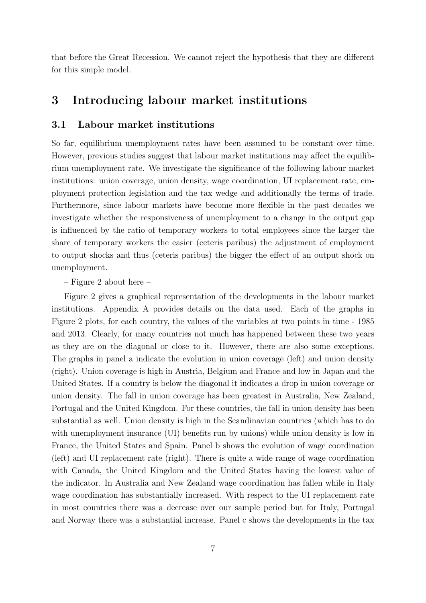that before the Great Recession. We cannot reject the hypothesis that they are different for this simple model.

### 3 Introducing labour market institutions

#### 3.1 Labour market institutions

So far, equilibrium unemployment rates have been assumed to be constant over time. However, previous studies suggest that labour market institutions may affect the equilibrium unemployment rate. We investigate the significance of the following labour market institutions: union coverage, union density, wage coordination, UI replacement rate, employment protection legislation and the tax wedge and additionally the terms of trade. Furthermore, since labour markets have become more flexible in the past decades we investigate whether the responsiveness of unemployment to a change in the output gap is influenced by the ratio of temporary workers to total employees since the larger the share of temporary workers the easier (ceteris paribus) the adjustment of employment to output shocks and thus (ceteris paribus) the bigger the effect of an output shock on unemployment.

#### – Figure 2 about here –

Figure 2 gives a graphical representation of the developments in the labour market institutions. Appendix A provides details on the data used. Each of the graphs in Figure 2 plots, for each country, the values of the variables at two points in time - 1985 and 2013. Clearly, for many countries not much has happened between these two years as they are on the diagonal or close to it. However, there are also some exceptions. The graphs in panel a indicate the evolution in union coverage (left) and union density (right). Union coverage is high in Austria, Belgium and France and low in Japan and the United States. If a country is below the diagonal it indicates a drop in union coverage or union density. The fall in union coverage has been greatest in Australia, New Zealand, Portugal and the United Kingdom. For these countries, the fall in union density has been substantial as well. Union density is high in the Scandinavian countries (which has to do with unemployment insurance (UI) benefits run by unions) while union density is low in France, the United States and Spain. Panel b shows the evolution of wage coordination (left) and UI replacement rate (right). There is quite a wide range of wage coordination with Canada, the United Kingdom and the United States having the lowest value of the indicator. In Australia and New Zealand wage coordination has fallen while in Italy wage coordination has substantially increased. With respect to the UI replacement rate in most countries there was a decrease over our sample period but for Italy, Portugal and Norway there was a substantial increase. Panel c shows the developments in the tax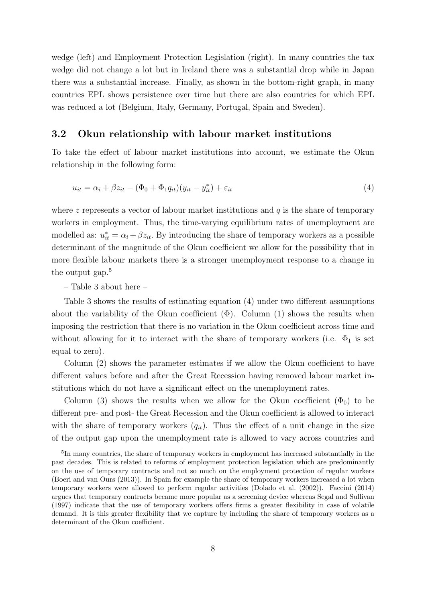wedge (left) and Employment Protection Legislation (right). In many countries the tax wedge did not change a lot but in Ireland there was a substantial drop while in Japan there was a substantial increase. Finally, as shown in the bottom-right graph, in many countries EPL shows persistence over time but there are also countries for which EPL was reduced a lot (Belgium, Italy, Germany, Portugal, Spain and Sweden).

#### 3.2 Okun relationship with labour market institutions

To take the effect of labour market institutions into account, we estimate the Okun relationship in the following form:

$$
u_{it} = \alpha_i + \beta z_{it} - (\Phi_0 + \Phi_1 q_{it})(y_{it} - y_{it}^*) + \varepsilon_{it}
$$
\n
$$
\tag{4}
$$

where z represents a vector of labour market institutions and  $q$  is the share of temporary workers in employment. Thus, the time-varying equilibrium rates of unemployment are modelled as:  $u_{it}^* = \alpha_i + \beta z_{it}$ . By introducing the share of temporary workers as a possible determinant of the magnitude of the Okun coefficient we allow for the possibility that in more flexible labour markets there is a stronger unemployment response to a change in the output gap.<sup>5</sup>

– Table 3 about here –

Table 3 shows the results of estimating equation (4) under two different assumptions about the variability of the Okun coefficient  $(\Phi)$ . Column (1) shows the results when imposing the restriction that there is no variation in the Okun coefficient across time and without allowing for it to interact with the share of temporary workers (i.e.  $\Phi_1$  is set equal to zero).

Column (2) shows the parameter estimates if we allow the Okun coefficient to have different values before and after the Great Recession having removed labour market institutions which do not have a significant effect on the unemployment rates.

Column (3) shows the results when we allow for the Okun coefficient  $(\Phi_0)$  to be different pre- and post- the Great Recession and the Okun coefficient is allowed to interact with the share of temporary workers  $(q_{it})$ . Thus the effect of a unit change in the size of the output gap upon the unemployment rate is allowed to vary across countries and

<sup>&</sup>lt;sup>5</sup>In many countries, the share of temporary workers in employment has increased substantially in the past decades. This is related to reforms of employment protection legislation which are predominantly on the use of temporary contracts and not so much on the employment protection of regular workers (Boeri and van Ours (2013)). In Spain for example the share of temporary workers increased a lot when temporary workers were allowed to perform regular activities (Dolado et al. (2002)). Faccini (2014) argues that temporary contracts became more popular as a screening device whereas Segal and Sullivan (1997) indicate that the use of temporary workers offers firms a greater flexibility in case of volatile demand. It is this greater flexibility that we capture by including the share of temporary workers as a determinant of the Okun coefficient.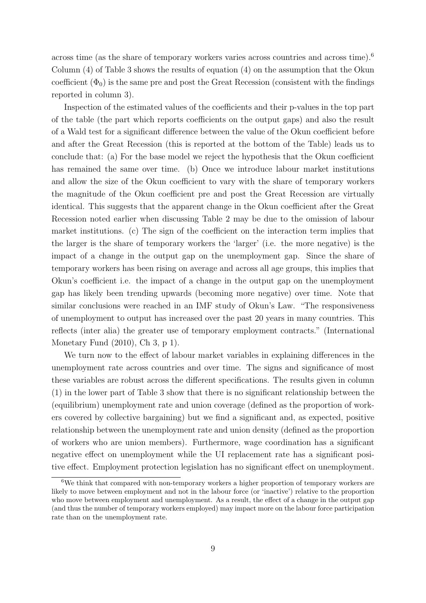across time (as the share of temporary workers varies across countries and across time).<sup>6</sup> Column (4) of Table 3 shows the results of equation (4) on the assumption that the Okun coefficient  $(\Phi_0)$  is the same pre and post the Great Recession (consistent with the findings reported in column 3).

Inspection of the estimated values of the coefficients and their p-values in the top part of the table (the part which reports coefficients on the output gaps) and also the result of a Wald test for a significant difference between the value of the Okun coefficient before and after the Great Recession (this is reported at the bottom of the Table) leads us to conclude that: (a) For the base model we reject the hypothesis that the Okun coefficient has remained the same over time. (b) Once we introduce labour market institutions and allow the size of the Okun coefficient to vary with the share of temporary workers the magnitude of the Okun coefficient pre and post the Great Recession are virtually identical. This suggests that the apparent change in the Okun coefficient after the Great Recession noted earlier when discussing Table 2 may be due to the omission of labour market institutions. (c) The sign of the coefficient on the interaction term implies that the larger is the share of temporary workers the 'larger' (i.e. the more negative) is the impact of a change in the output gap on the unemployment gap. Since the share of temporary workers has been rising on average and across all age groups, this implies that Okun's coefficient i.e. the impact of a change in the output gap on the unemployment gap has likely been trending upwards (becoming more negative) over time. Note that similar conclusions were reached in an IMF study of Okun's Law. "The responsiveness of unemployment to output has increased over the past 20 years in many countries. This reflects (inter alia) the greater use of temporary employment contracts." (International Monetary Fund (2010), Ch 3, p 1).

We turn now to the effect of labour market variables in explaining differences in the unemployment rate across countries and over time. The signs and significance of most these variables are robust across the different specifications. The results given in column (1) in the lower part of Table 3 show that there is no significant relationship between the (equilibrium) unemployment rate and union coverage (defined as the proportion of workers covered by collective bargaining) but we find a significant and, as expected, positive relationship between the unemployment rate and union density (defined as the proportion of workers who are union members). Furthermore, wage coordination has a significant negative effect on unemployment while the UI replacement rate has a significant positive effect. Employment protection legislation has no significant effect on unemployment.

 $6$ We think that compared with non-temporary workers a higher proportion of temporary workers are likely to move between employment and not in the labour force (or 'inactive') relative to the proportion who move between employment and unemployment. As a result, the effect of a change in the output gap (and thus the number of temporary workers employed) may impact more on the labour force participation rate than on the unemployment rate.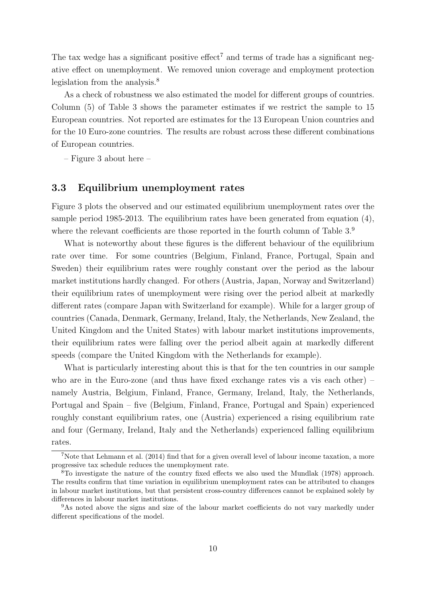The tax wedge has a significant positive effect<sup>7</sup> and terms of trade has a significant negative effect on unemployment. We removed union coverage and employment protection legislation from the analysis.<sup>8</sup>

As a check of robustness we also estimated the model for different groups of countries. Column (5) of Table 3 shows the parameter estimates if we restrict the sample to 15 European countries. Not reported are estimates for the 13 European Union countries and for the 10 Euro-zone countries. The results are robust across these different combinations of European countries.

– Figure 3 about here –

#### 3.3 Equilibrium unemployment rates

Figure 3 plots the observed and our estimated equilibrium unemployment rates over the sample period 1985-2013. The equilibrium rates have been generated from equation (4), where the relevant coefficients are those reported in the fourth column of Table  $3.9$ 

What is noteworthy about these figures is the different behaviour of the equilibrium rate over time. For some countries (Belgium, Finland, France, Portugal, Spain and Sweden) their equilibrium rates were roughly constant over the period as the labour market institutions hardly changed. For others (Austria, Japan, Norway and Switzerland) their equilibrium rates of unemployment were rising over the period albeit at markedly different rates (compare Japan with Switzerland for example). While for a larger group of countries (Canada, Denmark, Germany, Ireland, Italy, the Netherlands, New Zealand, the United Kingdom and the United States) with labour market institutions improvements, their equilibrium rates were falling over the period albeit again at markedly different speeds (compare the United Kingdom with the Netherlands for example).

What is particularly interesting about this is that for the ten countries in our sample who are in the Euro-zone (and thus have fixed exchange rates vis a vis each other) – namely Austria, Belgium, Finland, France, Germany, Ireland, Italy, the Netherlands, Portugal and Spain – five (Belgium, Finland, France, Portugal and Spain) experienced roughly constant equilibrium rates, one (Austria) experienced a rising equilibrium rate and four (Germany, Ireland, Italy and the Netherlands) experienced falling equilibrium rates.

<sup>7</sup>Note that Lehmann et al. (2014) find that for a given overall level of labour income taxation, a more progressive tax schedule reduces the unemployment rate.

<sup>8</sup>To investigate the nature of the country fixed effects we also used the Mundlak (1978) approach. The results confirm that time variation in equilibrium unemployment rates can be attributed to changes in labour market institutions, but that persistent cross-country differences cannot be explained solely by differences in labour market institutions.

<sup>&</sup>lt;sup>9</sup>As noted above the signs and size of the labour market coefficients do not vary markedly under different specifications of the model.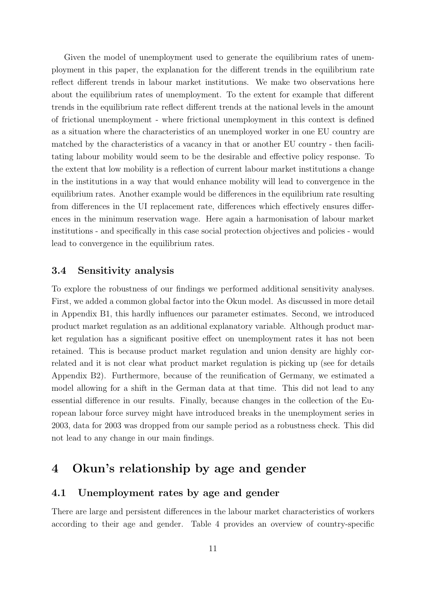Given the model of unemployment used to generate the equilibrium rates of unemployment in this paper, the explanation for the different trends in the equilibrium rate reflect different trends in labour market institutions. We make two observations here about the equilibrium rates of unemployment. To the extent for example that different trends in the equilibrium rate reflect different trends at the national levels in the amount of frictional unemployment - where frictional unemployment in this context is defined as a situation where the characteristics of an unemployed worker in one EU country are matched by the characteristics of a vacancy in that or another EU country - then facilitating labour mobility would seem to be the desirable and effective policy response. To the extent that low mobility is a reflection of current labour market institutions a change in the institutions in a way that would enhance mobility will lead to convergence in the equilibrium rates. Another example would be differences in the equilibrium rate resulting from differences in the UI replacement rate, differences which effectively ensures differences in the minimum reservation wage. Here again a harmonisation of labour market institutions - and specifically in this case social protection objectives and policies - would lead to convergence in the equilibrium rates.

#### 3.4 Sensitivity analysis

To explore the robustness of our findings we performed additional sensitivity analyses. First, we added a common global factor into the Okun model. As discussed in more detail in Appendix B1, this hardly influences our parameter estimates. Second, we introduced product market regulation as an additional explanatory variable. Although product market regulation has a significant positive effect on unemployment rates it has not been retained. This is because product market regulation and union density are highly correlated and it is not clear what product market regulation is picking up (see for details Appendix B2). Furthermore, because of the reunification of Germany, we estimated a model allowing for a shift in the German data at that time. This did not lead to any essential difference in our results. Finally, because changes in the collection of the European labour force survey might have introduced breaks in the unemployment series in 2003, data for 2003 was dropped from our sample period as a robustness check. This did not lead to any change in our main findings.

### 4 Okun's relationship by age and gender

#### 4.1 Unemployment rates by age and gender

There are large and persistent differences in the labour market characteristics of workers according to their age and gender. Table 4 provides an overview of country-specific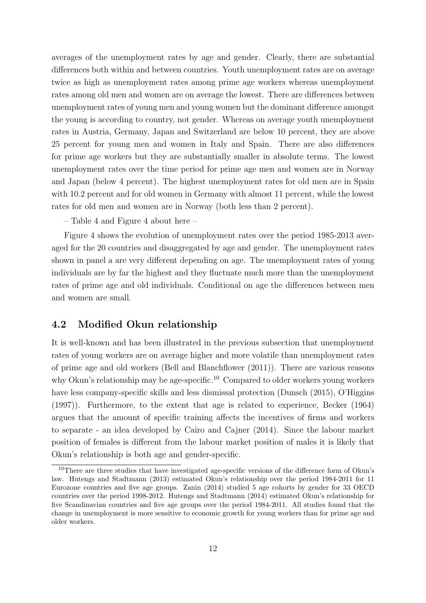averages of the unemployment rates by age and gender. Clearly, there are substantial differences both within and between countries. Youth unemployment rates are on average twice as high as unemployment rates among prime age workers whereas unemployment rates among old men and women are on average the lowest. There are differences between unemployment rates of young men and young women but the dominant difference amongst the young is according to country, not gender. Whereas on average youth unemployment rates in Austria, Germany, Japan and Switzerland are below 10 percent, they are above 25 percent for young men and women in Italy and Spain. There are also differences for prime age workers but they are substantially smaller in absolute terms. The lowest unemployment rates over the time period for prime age men and women are in Norway and Japan (below 4 percent). The highest unemployment rates for old men are in Spain with 10.2 percent and for old women in Germany with almost 11 percent, while the lowest rates for old men and women are in Norway (both less than 2 percent).

– Table 4 and Figure 4 about here –

Figure 4 shows the evolution of unemployment rates over the period 1985-2013 averaged for the 20 countries and disaggregated by age and gender. The unemployment rates shown in panel a are very different depending on age. The unemployment rates of young individuals are by far the highest and they fluctuate much more than the unemployment rates of prime age and old individuals. Conditional on age the differences between men and women are small.

#### 4.2 Modified Okun relationship

It is well-known and has been illustrated in the previous subsection that unemployment rates of young workers are on average higher and more volatile than unemployment rates of prime age and old workers (Bell and Blanchflower (2011)). There are various reasons why Okun's relationship may be age-specific.<sup>10</sup> Compared to older workers young workers have less company-specific skills and less dismissal protection (Dunsch (2015), O'Higgins (1997)). Furthermore, to the extent that age is related to experience, Becker (1964) argues that the amount of specific training affects the incentives of firms and workers to separate - an idea developed by Cairo and Cajner (2014). Since the labour market position of females is different from the labour market position of males it is likely that Okun's relationship is both age and gender-specific.

<sup>&</sup>lt;sup>10</sup>There are three studies that have investigated age-specific versions of the difference form of Okun's law. Hutengs and Stadtmann (2013) estimated Okun's relationship over the period 1984-2011 for 11 Eurozone countries and five age groups. Zanin (2014) studied 5 age cohorts by gender for 33 OECD countries over the period 1998-2012. Hutengs and Stadtmann (2014) estimated Okun's relationship for five Scandinavian countries and five age groups over the period 1984-2011. All studies found that the change in unemployment is more sensitive to economic growth for young workers than for prime age and older workers.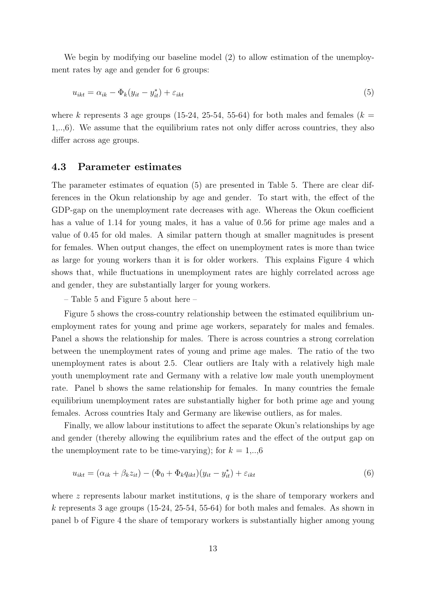We begin by modifying our baseline model (2) to allow estimation of the unemployment rates by age and gender for 6 groups:

$$
u_{ikt} = \alpha_{ik} - \Phi_k(y_{it} - y_{it}^*) + \varepsilon_{ikt} \tag{5}
$$

where k represents 3 age groups (15-24, 25-54, 55-64) for both males and females ( $k =$ 1,..,6). We assume that the equilibrium rates not only differ across countries, they also differ across age groups.

#### 4.3 Parameter estimates

The parameter estimates of equation (5) are presented in Table 5. There are clear differences in the Okun relationship by age and gender. To start with, the effect of the GDP-gap on the unemployment rate decreases with age. Whereas the Okun coefficient has a value of 1.14 for young males, it has a value of 0.56 for prime age males and a value of 0.45 for old males. A similar pattern though at smaller magnitudes is present for females. When output changes, the effect on unemployment rates is more than twice as large for young workers than it is for older workers. This explains Figure 4 which shows that, while fluctuations in unemployment rates are highly correlated across age and gender, they are substantially larger for young workers.

– Table 5 and Figure 5 about here –

Figure 5 shows the cross-country relationship between the estimated equilibrium unemployment rates for young and prime age workers, separately for males and females. Panel a shows the relationship for males. There is across countries a strong correlation between the unemployment rates of young and prime age males. The ratio of the two unemployment rates is about 2.5. Clear outliers are Italy with a relatively high male youth unemployment rate and Germany with a relative low male youth unemployment rate. Panel b shows the same relationship for females. In many countries the female equilibrium unemployment rates are substantially higher for both prime age and young females. Across countries Italy and Germany are likewise outliers, as for males.

Finally, we allow labour institutions to affect the separate Okun's relationships by age and gender (thereby allowing the equilibrium rates and the effect of the output gap on the unemployment rate to be time-varying); for  $k = 1,..,6$ 

$$
u_{ikt} = (\alpha_{ik} + \beta_k z_{it}) - (\Phi_0 + \Phi_k q_{ikt})(y_{it} - y_{it}^*) + \varepsilon_{ikt}
$$
\n
$$
(6)
$$

where z represents labour market institutions,  $q$  is the share of temporary workers and k represents 3 age groups  $(15-24, 25-54, 55-64)$  for both males and females. As shown in panel b of Figure 4 the share of temporary workers is substantially higher among young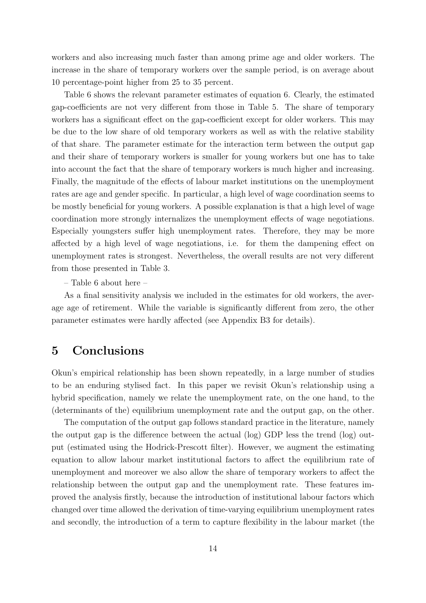workers and also increasing much faster than among prime age and older workers. The increase in the share of temporary workers over the sample period, is on average about 10 percentage-point higher from 25 to 35 percent.

Table 6 shows the relevant parameter estimates of equation 6. Clearly, the estimated gap-coefficients are not very different from those in Table 5. The share of temporary workers has a significant effect on the gap-coefficient except for older workers. This may be due to the low share of old temporary workers as well as with the relative stability of that share. The parameter estimate for the interaction term between the output gap and their share of temporary workers is smaller for young workers but one has to take into account the fact that the share of temporary workers is much higher and increasing. Finally, the magnitude of the effects of labour market institutions on the unemployment rates are age and gender specific. In particular, a high level of wage coordination seems to be mostly beneficial for young workers. A possible explanation is that a high level of wage coordination more strongly internalizes the unemployment effects of wage negotiations. Especially youngsters suffer high unemployment rates. Therefore, they may be more affected by a high level of wage negotiations, i.e. for them the dampening effect on unemployment rates is strongest. Nevertheless, the overall results are not very different from those presented in Table 3.

– Table 6 about here –

As a final sensitivity analysis we included in the estimates for old workers, the average age of retirement. While the variable is significantly different from zero, the other parameter estimates were hardly affected (see Appendix B3 for details).

### 5 Conclusions

Okun's empirical relationship has been shown repeatedly, in a large number of studies to be an enduring stylised fact. In this paper we revisit Okun's relationship using a hybrid specification, namely we relate the unemployment rate, on the one hand, to the (determinants of the) equilibrium unemployment rate and the output gap, on the other.

The computation of the output gap follows standard practice in the literature, namely the output gap is the difference between the actual (log) GDP less the trend (log) output (estimated using the Hodrick-Prescott filter). However, we augment the estimating equation to allow labour market institutional factors to affect the equilibrium rate of unemployment and moreover we also allow the share of temporary workers to affect the relationship between the output gap and the unemployment rate. These features improved the analysis firstly, because the introduction of institutional labour factors which changed over time allowed the derivation of time-varying equilibrium unemployment rates and secondly, the introduction of a term to capture flexibility in the labour market (the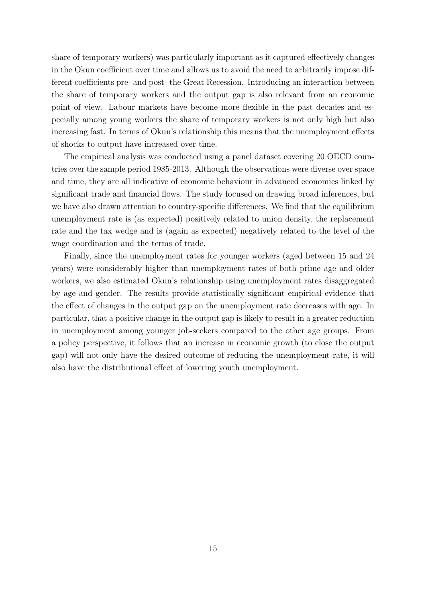share of temporary workers) was particularly important as it captured effectively changes in the Okun coefficient over time and allows us to avoid the need to arbitrarily impose different coefficients pre- and post- the Great Recession. Introducing an interaction between the share of temporary workers and the output gap is also relevant from an economic point of view. Labour markets have become more flexible in the past decades and especially among young workers the share of temporary workers is not only high but also increasing fast. In terms of Okun's relationship this means that the unemployment effects of shocks to output have increased over time.

The empirical analysis was conducted using a panel dataset covering 20 OECD countries over the sample period 1985-2013. Although the observations were diverse over space and time, they are all indicative of economic behaviour in advanced economies linked by significant trade and financial flows. The study focused on drawing broad inferences, but we have also drawn attention to country-specific differences. We find that the equilibrium unemployment rate is (as expected) positively related to union density, the replacement rate and the tax wedge and is (again as expected) negatively related to the level of the wage coordination and the terms of trade.

Finally, since the unemployment rates for younger workers (aged between 15 and 24 years) were considerably higher than unemployment rates of both prime age and older workers, we also estimated Okun's relationship using unemployment rates disaggregated by age and gender. The results provide statistically significant empirical evidence that the effect of changes in the output gap on the unemployment rate decreases with age. In particular, that a positive change in the output gap is likely to result in a greater reduction in unemployment among younger job-seekers compared to the other age groups. From a policy perspective, it follows that an increase in economic growth (to close the output gap) will not only have the desired outcome of reducing the unemployment rate, it will also have the distributional effect of lowering youth unemployment.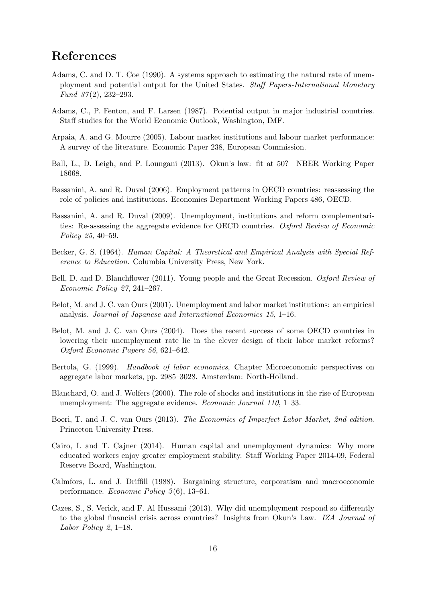### References

- Adams, C. and D. T. Coe (1990). A systems approach to estimating the natural rate of unemployment and potential output for the United States. Staff Papers-International Monetary Fund  $37(2)$ , 232-293.
- Adams, C., P. Fenton, and F. Larsen (1987). Potential output in major industrial countries. Staff studies for the World Economic Outlook, Washington, IMF.
- Arpaia, A. and G. Mourre (2005). Labour market institutions and labour market performance: A survey of the literature. Economic Paper 238, European Commission.
- Ball, L., D. Leigh, and P. Loungani (2013). Okun's law: fit at 50? NBER Working Paper 18668.
- Bassanini, A. and R. Duval (2006). Employment patterns in OECD countries: reassessing the role of policies and institutions. Economics Department Working Papers 486, OECD.
- Bassanini, A. and R. Duval (2009). Unemployment, institutions and reform complementarities: Re-assessing the aggregate evidence for OECD countries. Oxford Review of Economic Policy 25, 40–59.
- Becker, G. S. (1964). Human Capital: A Theoretical and Empirical Analysis with Special Reference to Education. Columbia University Press, New York.
- Bell, D. and D. Blanchflower (2011). Young people and the Great Recession. Oxford Review of Economic Policy 27, 241–267.
- Belot, M. and J. C. van Ours (2001). Unemployment and labor market institutions: an empirical analysis. Journal of Japanese and International Economics 15, 1–16.
- Belot, M. and J. C. van Ours (2004). Does the recent success of some OECD countries in lowering their unemployment rate lie in the clever design of their labor market reforms? Oxford Economic Papers 56, 621–642.
- Bertola, G. (1999). Handbook of labor economics, Chapter Microeconomic perspectives on aggregate labor markets, pp. 2985–3028. Amsterdam: North-Holland.
- Blanchard, O. and J. Wolfers (2000). The role of shocks and institutions in the rise of European unemployment: The aggregate evidence. Economic Journal 110, 1–33.
- Boeri, T. and J. C. van Ours (2013). The Economics of Imperfect Labor Market, 2nd edition. Princeton University Press.
- Cairo, I. and T. Cajner (2014). Human capital and unemployment dynamics: Why more educated workers enjoy greater employment stability. Staff Working Paper 2014-09, Federal Reserve Board, Washington.
- Calmfors, L. and J. Driffill (1988). Bargaining structure, corporatism and macroeconomic performance. Economic Policy  $3(6)$ , 13–61.
- Cazes, S., S. Verick, and F. Al Hussami (2013). Why did unemployment respond so differently to the global financial crisis across countries? Insights from Okun's Law. IZA Journal of Labor Policy 2, 1–18.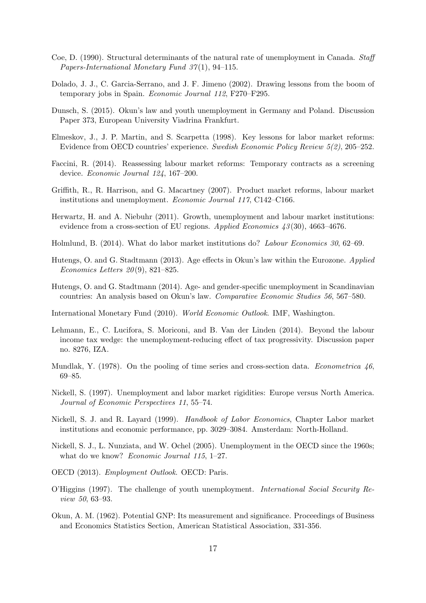- Coe, D. (1990). Structural determinants of the natural rate of unemployment in Canada. Staff Papers-International Monetary Fund 37 (1), 94–115.
- Dolado, J. J., C. Garcia-Serrano, and J. F. Jimeno (2002). Drawing lessons from the boom of temporary jobs in Spain. Economic Journal 112, F270–F295.
- Dunsch, S. (2015). Okun's law and youth unemployment in Germany and Poland. Discussion Paper 373, European University Viadrina Frankfurt.
- Elmeskov, J., J. P. Martin, and S. Scarpetta (1998). Key lessons for labor market reforms: Evidence from OECD countries' experience. Swedish Economic Policy Review 5(2), 205–252.
- Faccini, R. (2014). Reassessing labour market reforms: Temporary contracts as a screening device. Economic Journal 124, 167–200.
- Griffith, R., R. Harrison, and G. Macartney (2007). Product market reforms, labour market institutions and unemployment. Economic Journal 117, C142–C166.
- Herwartz, H. and A. Niebuhr (2011). Growth, unemployment and labour market institutions: evidence from a cross-section of EU regions. Applied Economics  $43(30)$ , 4663-4676.
- Holmlund, B. (2014). What do labor market institutions do? Labour Economics 30, 62–69.
- Hutengs, O. and G. Stadtmann (2013). Age effects in Okun's law within the Eurozone. Applied Economics Letters  $20(9)$ , 821-825.
- Hutengs, O. and G. Stadtmann (2014). Age- and gender-specific unemployment in Scandinavian countries: An analysis based on Okun's law. Comparative Economic Studies 56, 567–580.
- International Monetary Fund (2010). World Economic Outlook. IMF, Washington.
- Lehmann, E., C. Lucifora, S. Moriconi, and B. Van der Linden (2014). Beyond the labour income tax wedge: the unemployment-reducing effect of tax progressivity. Discussion paper no. 8276, IZA.
- Mundlak, Y. (1978). On the pooling of time series and cross-section data. Econometrica  $46$ , 69–85.
- Nickell, S. (1997). Unemployment and labor market rigidities: Europe versus North America. Journal of Economic Perspectives 11, 55–74.
- Nickell, S. J. and R. Layard (1999). Handbook of Labor Economics, Chapter Labor market institutions and economic performance, pp. 3029–3084. Amsterdam: North-Holland.
- Nickell, S. J., L. Nunziata, and W. Ochel (2005). Unemployment in the OECD since the 1960s; what do we know? *Economic Journal 115*, 1–27.
- OECD (2013). Employment Outlook. OECD: Paris.
- O'Higgins (1997). The challenge of youth unemployment. International Social Security Review 50, 63–93.
- Okun, A. M. (1962). Potential GNP: Its measurement and significance. Proceedings of Business and Economics Statistics Section, American Statistical Association, 331-356.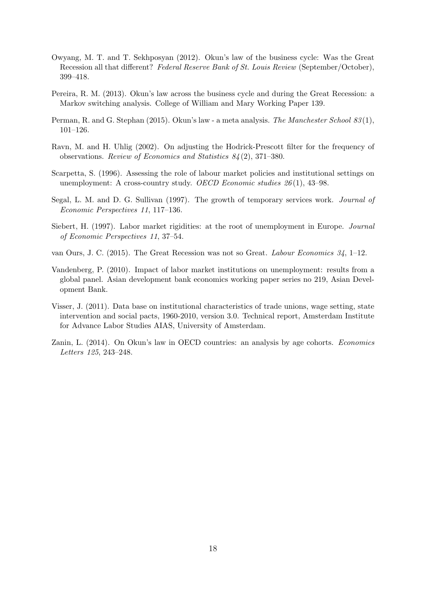- Owyang, M. T. and T. Sekhposyan (2012). Okun's law of the business cycle: Was the Great Recession all that different? Federal Reserve Bank of St. Louis Review (September/October), 399–418.
- Pereira, R. M. (2013). Okun's law across the business cycle and during the Great Recession: a Markov switching analysis. College of William and Mary Working Paper 139.
- Perman, R. and G. Stephan (2015). Okun's law a meta analysis. The Manchester School 83(1), 101–126.
- Ravn, M. and H. Uhlig (2002). On adjusting the Hodrick-Prescott filter for the frequency of observations. Review of Economics and Statistics 84 (2), 371–380.
- Scarpetta, S. (1996). Assessing the role of labour market policies and institutional settings on unemployment: A cross-country study. OECD Economic studies  $26(1)$ , 43-98.
- Segal, L. M. and D. G. Sullivan (1997). The growth of temporary services work. Journal of Economic Perspectives 11, 117–136.
- Siebert, H. (1997). Labor market rigidities: at the root of unemployment in Europe. Journal of Economic Perspectives 11, 37–54.
- van Ours, J. C. (2015). The Great Recession was not so Great. Labour Economics 34, 1–12.
- Vandenberg, P. (2010). Impact of labor market institutions on unemployment: results from a global panel. Asian development bank economics working paper series no 219, Asian Development Bank.
- Visser, J. (2011). Data base on institutional characteristics of trade unions, wage setting, state intervention and social pacts, 1960-2010, version 3.0. Technical report, Amsterdam Institute for Advance Labor Studies AIAS, University of Amsterdam.
- Zanin, L. (2014). On Okun's law in OECD countries: an analysis by age cohorts. Economics Letters 125, 243–248.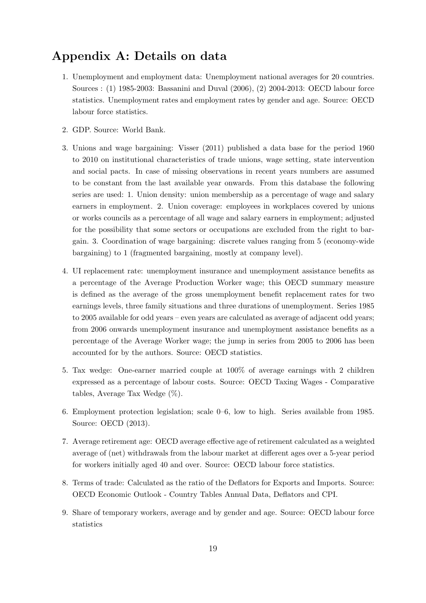### Appendix A: Details on data

- 1. Unemployment and employment data: Unemployment national averages for 20 countries. Sources : (1) 1985-2003: Bassanini and Duval (2006), (2) 2004-2013: OECD labour force statistics. Unemployment rates and employment rates by gender and age. Source: OECD labour force statistics.
- 2. GDP. Source: World Bank.
- 3. Unions and wage bargaining: Visser (2011) published a data base for the period 1960 to 2010 on institutional characteristics of trade unions, wage setting, state intervention and social pacts. In case of missing observations in recent years numbers are assumed to be constant from the last available year onwards. From this database the following series are used: 1. Union density: union membership as a percentage of wage and salary earners in employment. 2. Union coverage: employees in workplaces covered by unions or works councils as a percentage of all wage and salary earners in employment; adjusted for the possibility that some sectors or occupations are excluded from the right to bargain. 3. Coordination of wage bargaining: discrete values ranging from 5 (economy-wide bargaining) to 1 (fragmented bargaining, mostly at company level).
- 4. UI replacement rate: unemployment insurance and unemployment assistance benefits as a percentage of the Average Production Worker wage; this OECD summary measure is defined as the average of the gross unemployment benefit replacement rates for two earnings levels, three family situations and three durations of unemployment. Series 1985 to 2005 available for odd years – even years are calculated as average of adjacent odd years; from 2006 onwards unemployment insurance and unemployment assistance benefits as a percentage of the Average Worker wage; the jump in series from 2005 to 2006 has been accounted for by the authors. Source: OECD statistics.
- 5. Tax wedge: One-earner married couple at 100% of average earnings with 2 children expressed as a percentage of labour costs. Source: OECD Taxing Wages - Comparative tables, Average Tax Wedge (%).
- 6. Employment protection legislation; scale 0–6, low to high. Series available from 1985. Source: OECD (2013).
- 7. Average retirement age: OECD average effective age of retirement calculated as a weighted average of (net) withdrawals from the labour market at different ages over a 5-year period for workers initially aged 40 and over. Source: OECD labour force statistics.
- 8. Terms of trade: Calculated as the ratio of the Deflators for Exports and Imports. Source: OECD Economic Outlook - Country Tables Annual Data, Deflators and CPI.
- 9. Share of temporary workers, average and by gender and age. Source: OECD labour force statistics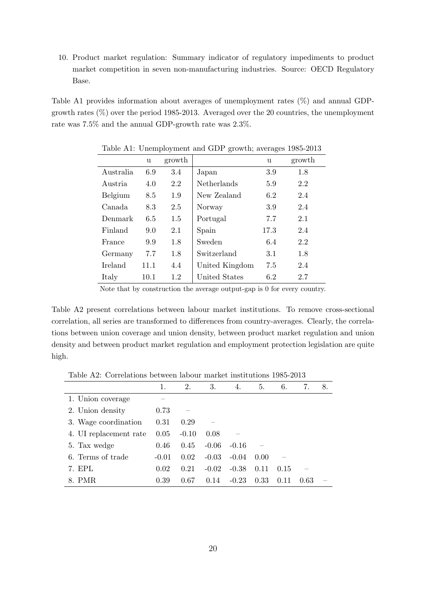10. Product market regulation: Summary indicator of regulatory impediments to product market competition in seven non-manufacturing industries. Source: OECD Regulatory Base.

Table A1 provides information about averages of unemployment rates (%) and annual GDPgrowth rates (%) over the period 1985-2013. Averaged over the 20 countries, the unemployment rate was 7.5% and the annual GDP-growth rate was 2.3%.

|                | u    | growth |                    | u    | growth |
|----------------|------|--------|--------------------|------|--------|
| Australia      | 6.9  | 3.4    | Japan              | 3.9  | 1.8    |
| Austria        | 4.0  | 2.2    | <b>Netherlands</b> | 5.9  | 2.2    |
| Belgium        | 8.5  | 1.9    | New Zealand        | 6.2  | 2.4    |
| Canada.        | 8.3  | 2.5    | Norway             | 3.9  | 2.4    |
| Denmark        | 6.5  | 1.5    | Portugal           | 7.7  | 2.1    |
| Finland        | 9.0  | 2.1    | Spain              | 17.3 | 2.4    |
| France         | 9.9  | 1.8    | Sweden             | 6.4  | 2.2    |
| Germany        | 7.7  | 1.8    | Switzerland        | 3.1  | 1.8    |
| <b>Ireland</b> | 11.1 | 4.4    | United Kingdom     | 7.5  | 2.4    |
| Italy          | 10.1 | 1.2    | United States      | 6.2  | 2.7    |
|                |      |        |                    |      |        |

Table A1: Unemployment and GDP growth; averages 1985-2013

Note that by construction the average output-gap is 0 for every country.

Table A2 present correlations between labour market institutions. To remove cross-sectional correlation, all series are transformed to differences from country-averages. Clearly, the correlations between union coverage and union density, between product market regulation and union density and between product market regulation and employment protection legislation are quite high.

| Table A2: Correlations between labour market institutions 1985-2013 |  |
|---------------------------------------------------------------------|--|
|---------------------------------------------------------------------|--|

|                        | 1.      | 2.      | 3.      | 4.      | 5.   | 6.   | 7.   | 8. |
|------------------------|---------|---------|---------|---------|------|------|------|----|
| 1. Union coverage      |         |         |         |         |      |      |      |    |
| 2. Union density       | 0.73    |         |         |         |      |      |      |    |
| 3. Wage coordination   | 0.31    | 0.29    |         |         |      |      |      |    |
| 4. UI replacement rate | 0.05    | $-0.10$ | 0.08    |         |      |      |      |    |
| 5. Tax wedge           | 0.46    | 0.45    | $-0.06$ | $-0.16$ |      |      |      |    |
| 6. Terms of trade      | $-0.01$ | 0.02    | $-0.03$ | $-0.04$ | 0.00 |      |      |    |
| 7. EPL                 | 0.02    | 0.21    | $-0.02$ | $-0.38$ | 0.11 | 0.15 |      |    |
| 8. PMR                 | 0.39    | 0.67    | 0.14    | $-0.23$ | 0.33 | 0.11 | 0.63 |    |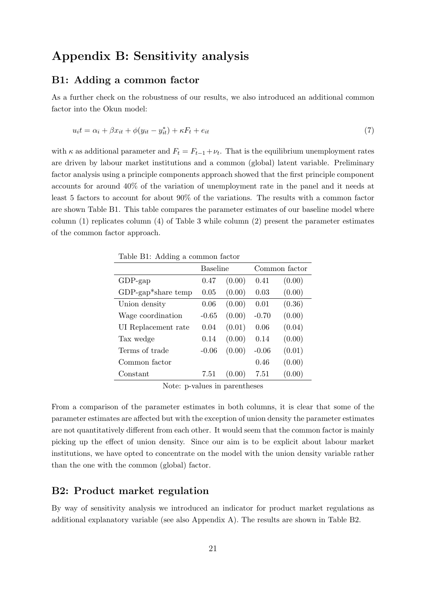### Appendix B: Sensitivity analysis

#### B1: Adding a common factor

As a further check on the robustness of our results, we also introduced an additional common factor into the Okun model:

$$
u_i t = \alpha_i + \beta x_{it} + \phi(y_{it} - y_{it}^*) + \kappa F_t + e_{it}
$$
\n<sup>(7)</sup>

with  $\kappa$  as additional parameter and  $F_t = F_{t-1} + \nu_t$ . That is the equilibrium unemployment rates are driven by labour market institutions and a common (global) latent variable. Preliminary factor analysis using a principle components approach showed that the first principle component accounts for around 40% of the variation of unemployment rate in the panel and it needs at least 5 factors to account for about 90% of the variations. The results with a common factor are shown Table B1. This table compares the parameter estimates of our baseline model where column (1) replicates column (4) of Table 3 while column (2) present the parameter estimates of the common factor approach.

Table B1: Adding a common factor

|                       | Baseline |        | Common factor |        |  |  |
|-----------------------|----------|--------|---------------|--------|--|--|
| $GDP$ -gap            | 0.47     | (0.00) | 0.41          | (0.00) |  |  |
| $GDP$ -gap*share temp | 0.05     | (0.00) | 0.03          | (0.00) |  |  |
| Union density         | 0.06     | (0.00) | 0.01          | (0.36) |  |  |
| Wage coordination     | $-0.65$  | (0.00) | $-0.70$       | (0.00) |  |  |
| UI Replacement rate   | 0.04     | (0.01) | 0.06          | (0.04) |  |  |
| Tax wedge             | 0.14     | (0.00) | 0.14          | (0.00) |  |  |
| Terms of trade        | $-0.06$  | (0.00) | $-0.06$       | (0.01) |  |  |
| Common factor         |          |        | 0.46          | (0.00) |  |  |
| Constant              | 7.51     | (0.00) | 7.51          | (0.00) |  |  |

Note: p-values in parentheses

From a comparison of the parameter estimates in both columns, it is clear that some of the parameter estimates are affected but with the exception of union density the parameter estimates are not quantitatively different from each other. It would seem that the common factor is mainly picking up the effect of union density. Since our aim is to be explicit about labour market institutions, we have opted to concentrate on the model with the union density variable rather than the one with the common (global) factor.

#### B2: Product market regulation

By way of sensitivity analysis we introduced an indicator for product market regulations as additional explanatory variable (see also Appendix A). The results are shown in Table B2.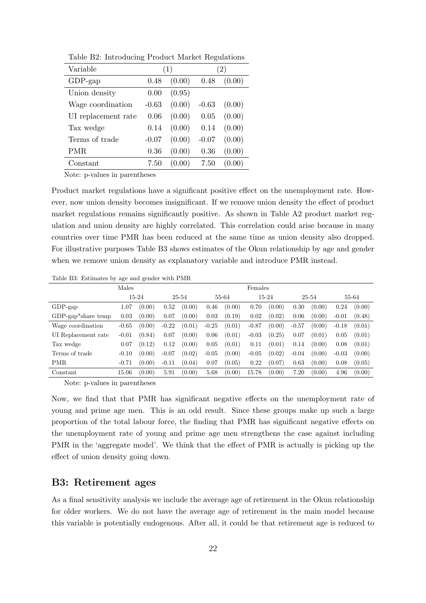| Variable            |         | (1)    |         | $\left(2\right)$ |
|---------------------|---------|--------|---------|------------------|
| $GDP$ -gap          | 0.48    | (0.00) | 0.48    | (0.00)           |
| Union density       | 0.00    | (0.95) |         |                  |
| Wage coordination   | $-0.63$ | (0.00) | $-0.63$ | (0.00)           |
| UI replacement rate | 0.06    | (0.00) | 0.05    | (0.00)           |
| Tax wedge           | 0.14    | (0.00) | 0.14    | (0.00)           |
| Terms of trade      | $-0.07$ | (0.00) | $-0.07$ | (0.00)           |
| PMR                 | 0.36    | (0.00) | 0.36    | (0.00)           |
| $\text{Constant}$   | 7.50    | (0.00) | 7.50    | (0.00)           |

Table B2: Introducing Product Market Regulations

Note: p-values in parentheses

Product market regulations have a significant positive effect on the unemployment rate. However, now union density becomes insignificant. If we remove union density the effect of product market regulations remains significantly positive. As shown in Table A2 product market regulation and union density are highly correlated. This correlation could arise because in many countries over time PMR has been reduced at the same time as union density also dropped. For illustrative purposes Table B3 shows estimates of the Okun relationship by age and gender when we remove union density as explanatory variable and introduce PMR instead.

Table B3: Estimates by age and gender with PMR

| Males                 |         |        |         |        | Females |        |         |        |         |        |         |        |
|-----------------------|---------|--------|---------|--------|---------|--------|---------|--------|---------|--------|---------|--------|
|                       |         | 15-24  |         | 25-54  |         | 55-64  |         | 15-24  |         | 25-54  |         | 55-64  |
| $GDP$ -gap            | 1.07    | (0.00) | 0.52    | (0.00) | 0.46    | (0.00) | 0.70    | (0.00) | 0.30    | (0.00) | 0.24    | (0.00) |
| $GDP$ -gap*share temp | 0.03    | (0.00) | 0.07    | (0.00) | 0.03    | (0.19) | 0.02    | (0.02) | 0.06    | (0.00) | $-0.01$ | (0.48) |
| Wage coordination     | $-0.65$ | (0.00) | $-0.22$ | (0.01) | $-0.25$ | (0.01) | $-0.87$ | (0.00) | $-0.57$ | (0.00) | $-0.18$ | (0.01) |
| UI Replacement rate   | $-0.01$ | (0.84) | 0.07    | (0.00) | 0.06    | (0.01) | $-0.03$ | (0.25) | 0.07    | (0.01) | 0.05    | (0.01) |
| Tax wedge             | 0.07    | (0.12) | 0.12    | (0.00) | 0.05    | (0.01) | 0.11    | (0.01) | 0.14    | (0.00) | 0.08    | (0.01) |
| Terms of trade        | $-0.10$ | (0.00) | $-0.07$ | (0.02) | $-0.05$ | (0.00) | $-0.05$ | (0.02) | $-0.04$ | (0.00) | $-0.03$ | (0.00) |
| PMR                   | $-0.71$ | (0.00) | $-0.11$ | (0.04) | 0.07    | (0.05) | 0.22    | (0.07) | 0.63    | (0.00) | 0.08    | (0.05) |
| Constant              | 15.06   | (0.00) | 5.91    | (0.00) | 5.68    | (0.00) | 15.78   | (0.00) | 7.20    | (0.00) | 4.96    | (0.00) |

Note: p-values in parentheses

Now, we find that that PMR has significant negative effects on the unemployment rate of young and prime age men. This is an odd result. Since these groups make up such a large proportion of the total labour force, the finding that PMR has significant negative effects on the unemployment rate of young and prime age men strengthens the case against including PMR in the 'aggregate model'. We think that the effect of PMR is actually is picking up the effect of union density going down.

#### B3: Retirement ages

As a final sensitivity analysis we include the average age of retirement in the Okun relationship for older workers. We do not have the average age of retirement in the main model because this variable is potentially endogenous. After all, it could be that retirement age is reduced to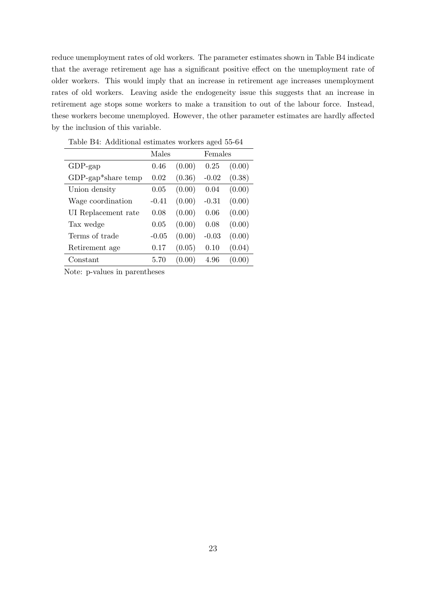reduce unemployment rates of old workers. The parameter estimates shown in Table B4 indicate that the average retirement age has a significant positive effect on the unemployment rate of older workers. This would imply that an increase in retirement age increases unemployment rates of old workers. Leaving aside the endogeneity issue this suggests that an increase in retirement age stops some workers to make a transition to out of the labour force. Instead, these workers become unemployed. However, the other parameter estimates are hardly affected by the inclusion of this variable.

|                       | Males   |        | Females |        |
|-----------------------|---------|--------|---------|--------|
| $GDP$ -gap            | 0.46    | (0.00) | 0.25    | (0.00) |
| $GDP$ -gap*share temp | 0.02    | (0.36) | $-0.02$ | (0.38) |
| Union density         | 0.05    | (0.00) | 0.04    | (0.00) |
| Wage coordination     | $-0.41$ | (0.00) | $-0.31$ | (0.00) |
| UI Replacement rate   | 0.08    | (0.00) | 0.06    | (0.00) |
| Tax wedge             | 0.05    | (0.00) | 0.08    | (0.00) |
| Terms of trade        | $-0.05$ | (0.00) | $-0.03$ | (0.00) |
| Retirement age        | 0.17    | (0.05) | 0.10    | (0.04) |
| Constant              | 5.70    | (0.00) | 4.96    | (0.00) |

Table B4: Additional estimates workers aged 55-64

Note: p-values in parentheses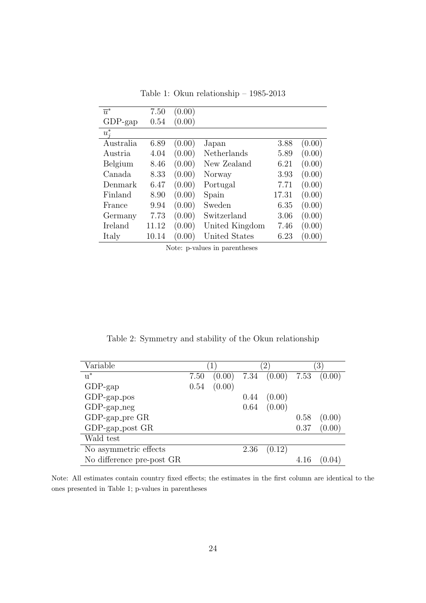| $\overline{u}^*$ | 7.50  | (0.00) |                |       |        |
|------------------|-------|--------|----------------|-------|--------|
| $GDP$ -gap       | 0.54  | (0.00) |                |       |        |
| $u_i^*$          |       |        |                |       |        |
| Australia        | 6.89  | (0.00) | Japan          | 3.88  | (0.00) |
| Austria.         | 4.04  | (0.00) | Netherlands    | 5.89  | (0.00) |
| Belgium          | 8.46  | (0.00) | New Zealand    | 6.21  | (0.00) |
| Canada           | 8.33  | (0.00) | Norway         | 3.93  | (0.00) |
| Denmark          | 6.47  | (0.00) | Portugal       | 7.71  | (0.00) |
| Finland          | 8.90  | (0.00) | Spain          | 17.31 | (0.00) |
| France           | 9.94  | (0.00) | Sweden         | 6.35  | (0.00) |
| Germany          | 7.73  | (0.00) | Switzerland    | 3.06  | (0.00) |
| Ireland          | 11.12 | (0.00) | United Kingdom | 7.46  | (0.00) |
| Italy            | 10.14 | (0.00) | United States  | 6.23  | (0.00) |

Table 1: Okun relationship – 1985-2013

Note: p-values in parentheses

Table 2: Symmetry and stability of the Okun relationship

| Variable                  |      |        |      | $\left(2\right)$ |      | $\left 3\right\rangle$ |
|---------------------------|------|--------|------|------------------|------|------------------------|
| $u^*$                     | 7.50 | (0.00) |      | 7.34 (0.00) 7.53 |      | (0.00)                 |
| $GDP$ -gap                | 0.54 | (0.00) |      |                  |      |                        |
| $GDP$ -gap_pos            |      |        | 0.44 | (0.00)           |      |                        |
| $GDP$ -gap_neg            |      |        | 0.64 | (0.00)           |      |                        |
| $GDP$ -gap_pre $GR$       |      |        |      |                  | 0.58 | (0.00)                 |
| $GDP$ -gap_post $GR$      |      |        |      |                  | 0.37 | (0.00)                 |
| Wald test                 |      |        |      |                  |      |                        |
| No asymmetric effects     |      |        | 2.36 | (0.12)           |      |                        |
| No difference pre-post GR |      |        |      |                  | 4.16 |                        |

Note: All estimates contain country fixed effects; the estimates in the first column are identical to the ones presented in Table 1; p-values in parentheses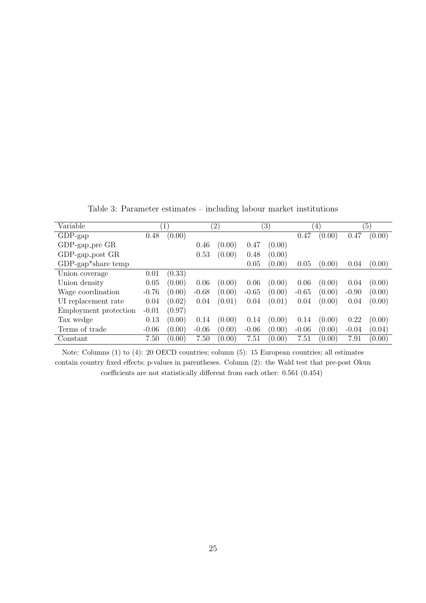| Variable              |         | $\mathbf{1}$ |         | $^{\prime}2)$ |         | $\left(3\right)$ |         | $\left(4\right)$ |         | $\left(5\right)$ |
|-----------------------|---------|--------------|---------|---------------|---------|------------------|---------|------------------|---------|------------------|
| $GDP$ -gap            | 0.48    | (0.00)       |         |               |         |                  | 0.47    | (0.00)           | 0.47    | (0.00)           |
| GDP-gap_pre GR        |         |              | 0.46    | (0.00)        | 0.47    | (0.00)           |         |                  |         |                  |
| GDP-gap_post GR       |         |              | 0.53    | (0.00)        | 0.48    | (0.00)           |         |                  |         |                  |
| $GDP$ -gap*share temp |         |              |         |               | 0.05    | (0.00)           | 0.05    | (0.00)           | 0.04    | (0.00)           |
| Union coverage        | 0.01    | (0.33)       |         |               |         |                  |         |                  |         |                  |
| Union density         | 0.05    | (0.00)       | 0.06    | (0.00)        | 0.06    | (0.00)           | 0.06    | (0.00)           | 0.04    | (0.00)           |
| Wage coordination     | $-0.76$ | (0.00)       | $-0.68$ | (0.00)        | $-0.65$ | (0.00)           | $-0.65$ | (0.00)           | $-0.90$ | (0.00)           |
| UI replacement rate   | 0.04    | (0.02)       | 0.04    | (0.01)        | 0.04    | (0.01)           | 0.04    | (0.00)           | 0.04    | (0.00)           |
| Employment protection | $-0.01$ | (0.97)       |         |               |         |                  |         |                  |         |                  |
| Tax wedge             | 0.13    | (0.00)       | 0.14    | (0.00)        | 0.14    | (0.00)           | 0.14    | (0.00)           | 0.22    | (0.00)           |
| Terms of trade        | $-0.06$ | (0.00)       | $-0.06$ | (0.00)        | $-0.06$ | (0.00)           | $-0.06$ | (0.00)           | $-0.04$ | (0.04)           |
| Constant              | 7.50    | (0.00)       | 7.50    | (0.00)        | 7.51    | (0.00)           | 7.51    | (0.00)           | 7.91    | (0.00)           |

Table 3: Parameter estimates – including labour market institutions

Note: Columns (1) to (4): 20 OECD countries; column (5): 15 European countries; all estimates contain country fixed effects; p-values in parentheses. Column (2): the Wald test that pre-post Okun coefficients are not statistically different from each other: 0.561 (0.454)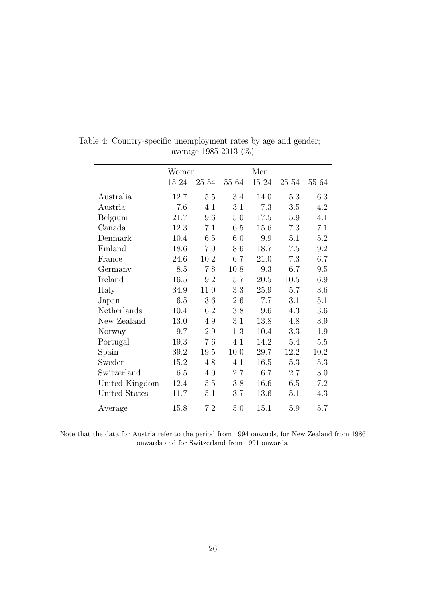|                | Women |       |       | Men   |       |       |
|----------------|-------|-------|-------|-------|-------|-------|
|                | 15-24 | 25-54 | 55-64 | 15-24 | 25-54 | 55-64 |
| Australia      | 12.7  | 5.5   | 3.4   | 14.0  | 5.3   | 6.3   |
| Austria        | 7.6   | 4.1   | 3.1   | 7.3   | 3.5   | 4.2   |
| Belgium        | 21.7  | 9.6   | 5.0   | 17.5  | 5.9   | 4.1   |
| Canada         | 12.3  | 7.1   | 6.5   | 15.6  | 7.3   | 7.1   |
| Denmark        | 10.4  | 6.5   | 6.0   | 9.9   | 5.1   | 5.2   |
| Finland        | 18.6  | 7.0   | 8.6   | 18.7  | 7.5   | 9.2   |
| France         | 24.6  | 10.2  | 6.7   | 21.0  | 7.3   | 6.7   |
| Germany        | 8.5   | 7.8   | 10.8  | 9.3   | 6.7   | 9.5   |
| Ireland        | 16.5  | 9.2   | 5.7   | 20.5  | 10.5  | 6.9   |
| Italy          | 34.9  | 11.0  | 3.3   | 25.9  | 5.7   | 3.6   |
| Japan          | 6.5   | 3.6   | 2.6   | 7.7   | 3.1   | 5.1   |
| Netherlands    | 10.4  | 6.2   | 3.8   | 9.6   | 4.3   | 3.6   |
| New Zealand    | 13.0  | 4.9   | 3.1   | 13.8  | 4.8   | 3.9   |
| Norway         | 9.7   | 2.9   | 1.3   | 10.4  | 3.3   | 1.9   |
| Portugal       | 19.3  | 7.6   | 4.1   | 14.2  | 5.4   | 5.5   |
| Spain          | 39.2  | 19.5  | 10.0  | 29.7  | 12.2  | 10.2  |
| Sweden         | 15.2  | 4.8   | 4.1   | 16.5  | 5.3   | 5.3   |
| Switzerland    | 6.5   | 4.0   | 2.7   | 6.7   | 2.7   | 3.0   |
| United Kingdom | 12.4  | 5.5   | 3.8   | 16.6  | 6.5   | 7.2   |
| United States  | 11.7  | 5.1   | 3.7   | 13.6  | 5.1   | 4.3   |
| Average        | 15.8  | 7.2   | 5.0   | 15.1  | 5.9   | 5.7   |

Table 4: Country-specific unemployment rates by age and gender; average 1985-2013 (%)

Note that the data for Austria refer to the period from 1994 onwards, for New Zealand from 1986 onwards and for Switzerland from 1991 onwards.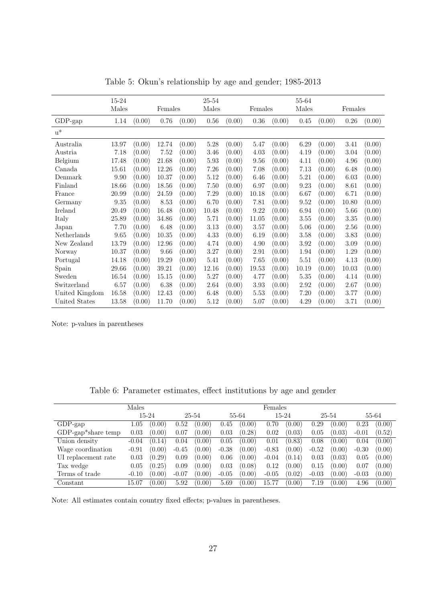|                | 15-24<br>Males |        | Females |        | 25-54<br>Males |        | Females |        | 55-64<br>Males |        | Females |        |
|----------------|----------------|--------|---------|--------|----------------|--------|---------|--------|----------------|--------|---------|--------|
|                |                |        |         |        |                |        |         |        |                |        |         |        |
| GDP-gap        | 1.14           | (0.00) | 0.76    | (0.00) | $0.56\,$       | (0.00) | 0.36    | (0.00) | 0.45           | (0.00) | 0.26    | (0.00) |
| $u^*$          |                |        |         |        |                |        |         |        |                |        |         |        |
| Australia      | 13.97          | (0.00) | 12.74   | (0.00) | 5.28           | (0.00) | 5.47    | (0.00) | 6.29           | (0.00) | 3.41    | (0.00) |
| Austria        | 7.18           | (0.00) | 7.52    | (0.00) | 3.46           | (0.00) | 4.03    | (0.00) | 4.19           | (0.00) | 3.04    | (0.00) |
| Belgium        | 17.48          | (0.00) | 21.68   | (0.00) | 5.93           | (0.00) | 9.56    | (0.00) | 4.11           | (0.00) | 4.96    | (0.00) |
| Canada         | 15.61          | (0.00) | 12.26   | (0.00) | 7.26           | (0.00) | 7.08    | (0.00) | 7.13           | (0.00) | 6.48    | (0.00) |
| Denmark        | 9.90           | (0.00) | 10.37   | (0.00) | 5.12           | (0.00) | 6.46    | (0.00) | 5.21           | (0.00) | 6.03    | (0.00) |
| Finland        | 18.66          | (0.00) | 18.56   | (0.00) | 7.50           | (0.00) | 6.97    | (0.00) | 9.23           | (0.00) | 8.61    | (0.00) |
| France         | 20.99          | (0.00) | 24.59   | (0.00) | 7.29           | (0.00) | 10.18   | (0.00) | 6.67           | (0.00) | 6.71    | (0.00) |
| Germany        | 9.35           | (0.00) | 8.53    | (0.00) | 6.70           | (0.00) | 7.81    | (0.00) | 9.52           | (0.00) | 10.80   | (0.00) |
| Ireland        | 20.49          | (0.00) | 16.48   | (0.00) | 10.48          | (0.00) | 9.22    | (0.00) | 6.94           | (0.00) | 5.66    | (0.00) |
| Italy          | 25.89          | (0.00) | 34.86   | (0.00) | 5.71           | (0.00) | 11.05   | (0.00) | 3.55           | (0.00) | 3.35    | (0.00) |
| Japan          | 7.70           | (0.00) | 6.48    | (0.00) | 3.13           | (0.00) | 3.57    | (0.00) | 5.06           | (0.00) | 2.56    | (0.00) |
| Netherlands    | 9.65           | (0.00) | 10.35   | (0.00) | 4.33           | (0.00) | 6.19    | (0.00) | 3.58           | (0.00) | 3.83    | (0.00) |
| New Zealand    | 13.79          | (0.00) | 12.96   | (0.00) | 4.74           | (0.00) | 4.90    | (0.00) | 3.92           | (0.00) | 3.09    | (0.00) |
| Norway         | 10.37          | (0.00) | 9.66    | (0.00) | 3.27           | (0.00) | 2.91    | (0.00) | 1.94           | (0.00) | 1.29    | (0.00) |
| Portugal       | 14.18          | (0.00) | 19.29   | (0.00) | 5.41           | (0.00) | 7.65    | (0.00) | 5.51           | (0.00) | 4.13    | (0.00) |
| Spain          | 29.66          | (0.00) | 39.21   | (0.00) | 12.16          | (0.00) | 19.53   | (0.00) | 10.19          | (0.00) | 10.03   | (0.00) |
| Sweden         | 16.54          | (0.00) | 15.15   | (0.00) | 5.27           | (0.00) | 4.77    | (0.00) | 5.35           | (0.00) | 4.14    | (0.00) |
| Switzerland    | 6.57           | (0.00) | 6.38    | (0.00) | 2.64           | (0.00) | 3.93    | (0.00) | 2.92           | (0.00) | 2.67    | (0.00) |
| United Kingdom | 16.58          | (0.00) | 12.43   | (0.00) | 6.48           | (0.00) | 5.53    | (0.00) | 7.20           | (0.00) | 3.77    | (0.00) |
| United States  | 13.58          | (0.00) | 11.70   | (0.00) | 5.12           | (0.00) | 5.07    | (0.00) | 4.29           | (0.00) | 3.71    | (0.00) |

Table 5: Okun's relationship by age and gender; 1985-2013

Note: p-values in parentheses

|  |  |  |  | Table 6: Parameter estimates, effect institutions by age and gender |  |  |  |  |
|--|--|--|--|---------------------------------------------------------------------|--|--|--|--|
|--|--|--|--|---------------------------------------------------------------------|--|--|--|--|

| Males                 |         |        |         |        | Females |        |         |        |         |        |         |        |
|-----------------------|---------|--------|---------|--------|---------|--------|---------|--------|---------|--------|---------|--------|
|                       | 15-24   |        | 25-54   |        | 55-64   |        | 15-24   |        | 25-54   |        | 55-64   |        |
| $GDP$ -gap            | 1.05    | (0.00) | 0.52    | (0.00) | 0.45    | (0.00) | 0.70    | (0.00) | 0.29    | (0.00) | 0.23    | (0.00) |
| $GDP$ -gap*share temp | 0.03    | (0.00) | 0.07    | (0.00) | 0.03    | (0.28) | 0.02    | (0.03) | 0.05    | (0.03) | $-0.01$ | (0.52) |
| Union density         | $-0.04$ | (0.14) | 0.04    | (0.00) | 0.05    | (0.00) | 0.01    | (0.83) | 0.08    | (0.00) | 0.04    | (0.00) |
| Wage coordination     | $-0.91$ | (0.00) | $-0.45$ | (0.00) | $-0.38$ | (0.00) | $-0.83$ | (0.00) | $-0.52$ | (0.00) | $-0.30$ | (0.00) |
| UI replacement rate   | 0.03    | (0.29) | 0.09    | (0.00) | 0.06    | (0.00) | $-0.04$ | (0.14) | 0.03    | (0.03) | 0.05    | (0.00) |
| Tax wedge             | 0.05    | (0.25) | 0.09    | (0.00) | 0.03    | (0.08) | 0.12    | (0.00) | 0.15    | (0.00) | 0.07    | (0.00) |
| Terms of trade        | $-0.10$ | (0.00) | $-0.07$ | (0.00) | $-0.05$ | (0.00) | $-0.05$ | (0.02) | $-0.03$ | (0.00) | $-0.03$ | (0.00) |
| Constant              | 15.07   | (0.00) | 5.92    | (0.00) | 5.69    | (0.00) | 15.77   | (0.00) | 7.19    | (0.00) | 4.96    | (0.00) |

Note: All estimates contain country fixed effects; p-values in parentheses.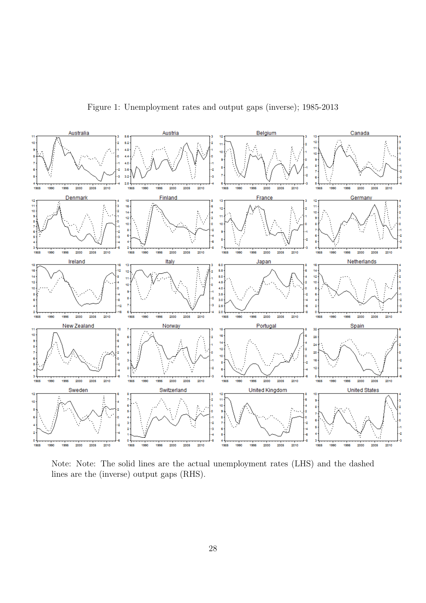Figure 1: Unemployment rates and output gaps (inverse); 1985-2013



Note: Note: The solid lines are the actual unemployment rates (LHS) and the dashed lines are the (inverse) output gaps (RHS).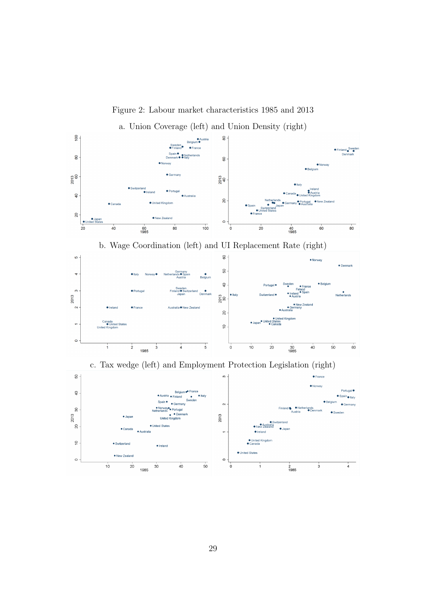

Figure 2: Labour market characteristics 1985 and 2013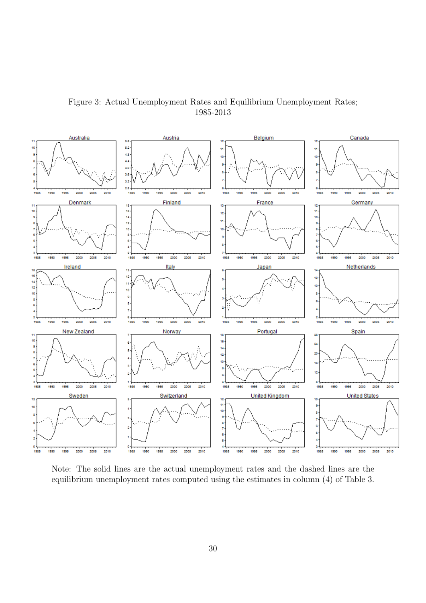

Figure 3: Actual Unemployment Rates and Equilibrium Unemployment Rates; 1985-2013

Note: The solid lines are the actual unemployment rates and the dashed lines are the equilibrium unemployment rates computed using the estimates in column (4) of Table 3.